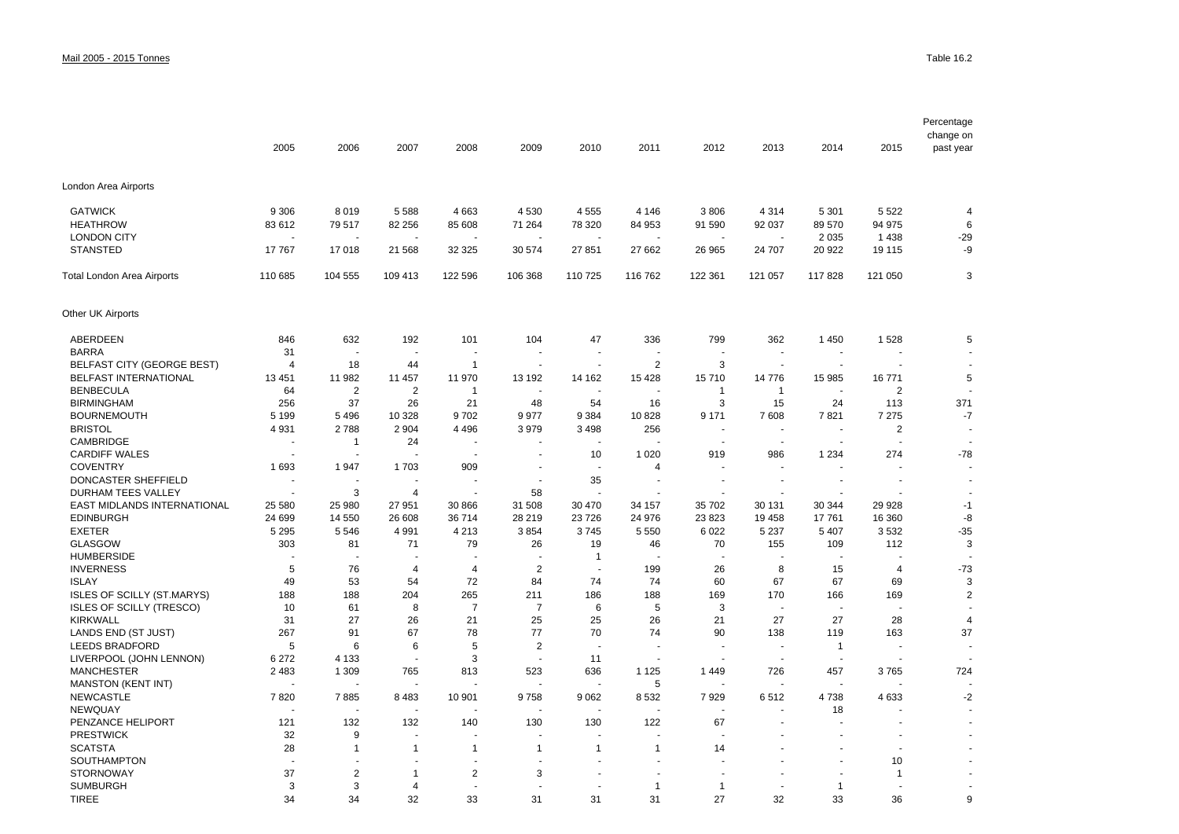|                                              | 2005               | 2006               | 2007                            | 2008                 | 2009                     | 2010                           | 2011           | 2012                     | 2013                     | 2014                     | 2015           | Percentage<br>change on<br>past year |
|----------------------------------------------|--------------------|--------------------|---------------------------------|----------------------|--------------------------|--------------------------------|----------------|--------------------------|--------------------------|--------------------------|----------------|--------------------------------------|
| London Area Airports                         |                    |                    |                                 |                      |                          |                                |                |                          |                          |                          |                |                                      |
| <b>GATWICK</b>                               | 9 3 0 6            | 8 0 1 9            | 5 5 8 8                         | 4 6 63               | 4 5 3 0                  | 4 5 5 5                        | 4 1 4 6        | 3806                     | 4 3 1 4                  | 5 3 0 1                  | 5 5 2 2        | 4                                    |
| <b>HEATHROW</b>                              | 83 612             | 79517              | 82 256                          | 85 608               | 71 264                   | 78 320                         | 84 953         | 91 590                   | 92 037                   | 89 570                   | 94 975         | 6                                    |
| <b>LONDON CITY</b>                           |                    |                    |                                 |                      |                          |                                |                |                          |                          | 2 0 3 5                  | 1438           | $-29$                                |
| <b>STANSTED</b>                              | 17767              | 17018              | 21 5 68                         | 32 3 25              | 30 574                   | 27 851                         | 27 662         | 26 965                   | 24 707                   | 20 922                   | 19 115         | -9                                   |
| Total London Area Airports                   | 110 685            | 104 555            | 109 413                         | 122 596              | 106 368                  | 110 725                        | 116 762        | 122 361                  | 121 057                  | 117828                   | 121 050        | 3                                    |
| Other UK Airports                            |                    |                    |                                 |                      |                          |                                |                |                          |                          |                          |                |                                      |
| ABERDEEN                                     | 846                | 632                | 192                             | 101                  | 104                      | 47                             | 336            | 799                      | 362                      | 1450                     | 1528           | 5                                    |
| <b>BARRA</b>                                 | 31                 |                    | ÷,                              | ٠                    | $\overline{a}$           | $\blacksquare$                 |                | $\ddot{\phantom{0}}$     | $\blacksquare$           | $\overline{\phantom{a}}$ |                |                                      |
| <b>BELFAST CITY (GEORGE BEST)</b>            | 4                  | 18                 | 44                              | $\mathbf{1}$         | $\blacksquare$           | $\blacksquare$                 | $\overline{2}$ | 3                        | $\blacksquare$           | $\mathbf{r}$             |                | $\overline{a}$                       |
| <b>BELFAST INTERNATIONAL</b>                 | 13 4 51            | 11 982             | 11 457                          | 11 970               | 13 192                   | 14 162                         | 15 4 28        | 15710                    | 14776                    | 15 985                   | 16771          | 5                                    |
| <b>BENBECULA</b>                             | 64                 | $\overline{2}$     | $\overline{2}$                  | $\mathbf 1$          |                          |                                |                | $\mathbf{1}$             | $\mathbf{1}$             | ÷,                       | $\overline{2}$ |                                      |
| <b>BIRMINGHAM</b>                            | 256                | 37                 | 26                              | 21                   | 48                       | 54                             | 16             | 3                        | 15                       | 24                       | 113            | 371                                  |
| <b>BOURNEMOUTH</b>                           | 5 1 9 9            | 5 4 9 6            | 10 328                          | 9702                 | 9 9 7 7                  | 9 3 8 4                        | 10828          | 9 1 7 1                  | 7608                     | 7821                     | 7 2 7 5        | $-7$                                 |
| <b>BRISTOL</b>                               | 4931               | 2788               | 2 9 0 4                         | 4 4 9 6              | 3979                     | 3 4 9 8                        | 256            | $\overline{\phantom{a}}$ | $\overline{\phantom{a}}$ | $\overline{\phantom{a}}$ | 2              | $\overline{\phantom{a}}$             |
| CAMBRIDGE                                    |                    | $\mathbf 1$        | 24                              |                      |                          |                                |                | $\overline{\phantom{a}}$ | $\sim$                   | ÷,                       |                |                                      |
| <b>CARDIFF WALES</b>                         |                    |                    |                                 | $\ddot{\phantom{0}}$ | $\sim$                   | 10                             | 1 0 2 0        | 919                      | 986                      | 1 2 3 4                  | 274            | $-78$                                |
| <b>COVENTRY</b>                              | 1693               | 1947               | 1703                            | 909                  | $\overline{\phantom{a}}$ | ٠                              | $\overline{4}$ |                          | $\overline{a}$           |                          |                |                                      |
| DONCASTER SHEFFIELD                          |                    |                    |                                 |                      | ÷                        | 35                             |                | ÷,                       | $\overline{\phantom{a}}$ | $\blacksquare$           |                |                                      |
| DURHAM TEES VALLEY                           |                    | 3                  | 4                               | ÷,                   | 58                       | $\sim$                         |                | $\ddot{\phantom{1}}$     | $\overline{a}$           | $\overline{a}$           |                |                                      |
| EAST MIDLANDS INTERNATIONAL                  | 25 580             | 25 980             | 27 951                          | 30 866               | 31 508                   | 30 470                         | 34 157         | 35 702                   | 30 131                   | 30 344                   | 29 9 28        | $-1$                                 |
| <b>EDINBURGH</b>                             | 24 699             | 14 550             | 26 608                          | 36 714               | 28 219                   | 23 7 26                        | 24 976         | 23 823                   | 19 4 58                  | 17761                    | 16 360         | -8                                   |
| <b>EXETER</b>                                | 5 2 9 5            | 5 5 4 6            | 4 9 9 1                         | 4 2 1 3              | 3854                     | 3745                           | 5 5 5 0        | 6 0 2 2                  | 5 2 3 7                  | 5 4 0 7                  | 3532           | $-35$                                |
| <b>GLASGOW</b>                               | 303                | 81                 | 71                              | 79                   | 26                       | 19                             | 46             | 70                       | 155                      | 109                      | 112            | 3                                    |
| <b>HUMBERSIDE</b>                            |                    |                    |                                 |                      |                          | $\overline{1}$                 |                | $\overline{a}$           | $\sim$                   | $\blacksquare$           |                | ÷.                                   |
| <b>INVERNESS</b>                             | 5                  | 76                 | $\overline{4}$                  | 4                    | $\overline{2}$           | J.                             | 199            | 26                       | 8                        | 15                       | $\overline{4}$ | $-73$                                |
| <b>ISLAY</b>                                 | 49                 | 53                 | 54                              | 72                   | 84                       | 74                             | 74             | 60                       | 67                       | 67                       | 69             | 3                                    |
| <b>ISLES OF SCILLY (ST.MARYS)</b>            | 188                | 188                | 204                             | 265                  | 211                      | 186                            | 188            | 169                      | 170                      | 166                      | 169            | $\overline{2}$                       |
| <b>ISLES OF SCILLY (TRESCO)</b>              | 10                 | 61                 | 8                               | $\overline{7}$       | $\overline{7}$           | 6                              | 5              | 3                        | $\overline{\phantom{a}}$ | $\overline{\phantom{a}}$ |                |                                      |
| <b>KIRKWALL</b>                              | 31                 | 27                 | 26                              | 21                   | 25                       | 25                             | 26             | 21                       | 27                       | 27                       | 28             | 4                                    |
| LANDS END (ST JUST)                          | 267                | 91                 | 67                              | 78                   | 77                       | 70<br>$\overline{\phantom{a}}$ | 74<br>$\sim$   | 90<br>÷,                 | 138<br>$\sim$            | 119                      | 163            | 37                                   |
| <b>LEEDS BRADFORD</b>                        | 5                  | 6                  | 6                               | 5                    | 2                        |                                | ä,             |                          |                          | $\mathbf{1}$             |                |                                      |
| LIVERPOOL (JOHN LENNON)<br><b>MANCHESTER</b> | 6 2 7 2<br>2 4 8 3 | 4 1 3 3<br>1 3 0 9 | $\overline{\phantom{a}}$<br>765 | 3<br>813             | $\sim$<br>523            | 11<br>636                      | 1 1 2 5        | 1449                     | $\sim$<br>726            | $\blacksquare$<br>457    | 3765           | 724                                  |
| <b>MANSTON (KENT INT)</b>                    |                    |                    |                                 |                      |                          |                                | 5              |                          |                          |                          |                |                                      |
| <b>NEWCASTLE</b>                             | 7820               | 7885               | 8 4 8 3                         | 10 901               | 9758                     | 9 0 6 2                        | 8 5 3 2        | 7929                     | 6512                     | 4738                     | 4633           | $-2$                                 |
| <b>NEWQUAY</b>                               |                    |                    |                                 |                      |                          | ÷.                             | ÷,             | J.                       | $\sim$                   | 18                       |                |                                      |
| PENZANCE HELIPORT                            | 121                | 132                | 132                             | 140                  | 130                      | 130                            | 122            | 67                       |                          |                          |                |                                      |
| <b>PRESTWICK</b>                             | 32                 | 9                  | $\ddot{\phantom{0}}$            |                      |                          |                                |                |                          |                          |                          |                |                                      |
| <b>SCATSTA</b>                               | 28                 | $\mathbf 1$        | $\mathbf{1}$                    | $\mathbf 1$          | $\mathbf{1}$             | $\mathbf{1}$                   | $\mathbf{1}$   | 14                       |                          |                          |                |                                      |
| SOUTHAMPTON                                  |                    |                    | $\ddot{\phantom{1}}$            |                      | $\overline{a}$           |                                |                |                          |                          |                          | 10             |                                      |
| <b>STORNOWAY</b>                             | 37                 | 2                  | 1                               | 2                    | 3                        |                                |                |                          |                          |                          | $\overline{1}$ |                                      |
| <b>SUMBURGH</b>                              | 3                  | 3                  | 4                               |                      |                          |                                | $\overline{1}$ | $\mathbf{1}$             |                          | $\mathbf{1}$             |                |                                      |
| <b>TIREE</b>                                 | 34                 | 34                 | 32                              | 33                   | 31                       | 31                             | 31             | 27                       | 32                       | 33                       | 36             | 9                                    |